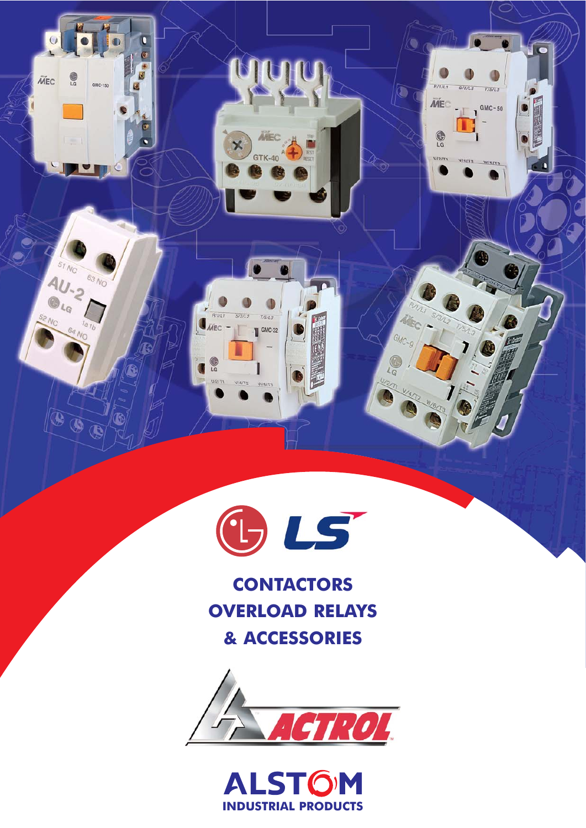

t

 $\boldsymbol{\times}$ 

 $R/1/LT$ 

 $J_{\tilde{\text{MEC}}}$  -

 $\mathbf{G}$ **FTSIU**   $S/3/L<sub>2</sub>$ 

VIAIT2

 $T/5/L3$ 

 $\blacksquare$  GMC-32

**MEC** 

**GTK-40** 

J c

 $R/T/T$ 

**MEC** 

 $\bigcirc$ 

 $V/2/T$ 

 $\widehat{\mathbf{O}}$ 

GMC-9

 $\frac{1}{2}$ 

 $S/3/12$ 

 $T/5/L3$ 

FC-

 $\mathbf{S}^{\text{GMC}-50}$ 

 $\bigcirc$ 

**MEC** 

 $\frac{1}{2}$ 

 $\begin{array}{c}\n57 \\
N_C\n\end{array}$ 

 $40.2$ 

 $\iota_{\alpha}$ 

 $\widehat{\bm{\theta}}$ 

 $\widetilde{\bullet\bullet}$ 

63 NO

GMC-150

**CONTACTORS OVERLOAD RELAYS & ACCESSORIES**



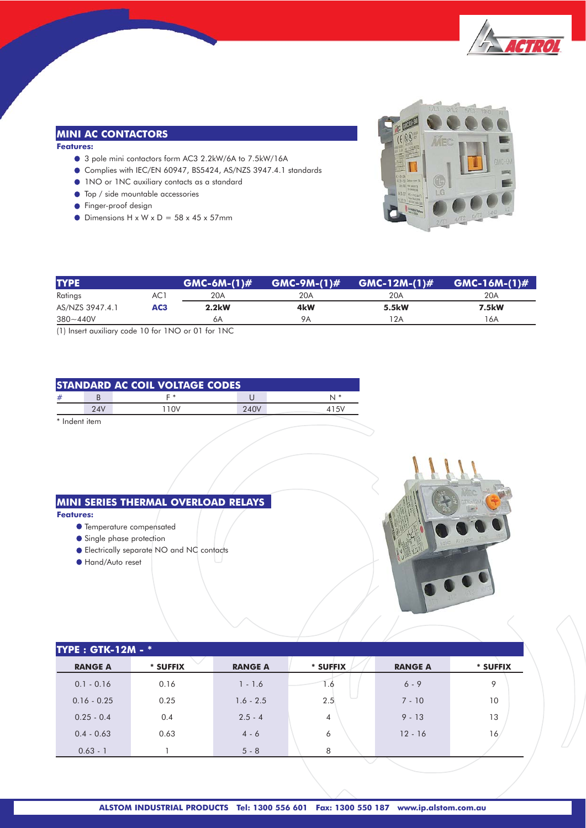

# **MINI AC CONTACTORS**

**Features:**

- 3 pole mini contactors form AC3 2.2kW/6A to 7.5kW/16A
- Complies with IEC/EN 60947, BS5424, AS/NZS 3947.4.1 standards
- 1NO or 1NC auxiliary contacts as a standard
- $\bullet$  Top / side mountable accessories
- **•** Finger-proof design
- $\bullet$  Dimensions H x W x D = 58 x 45 x 57mm



| <b>TYPE</b>     |     | $GMC-6M-(1)$ # | $GMC-9M-(1)$ # | $GMC-12M-(1)$ # | $GMC-16M-(1)$ # |
|-----------------|-----|----------------|----------------|-----------------|-----------------|
| Ratings         | AC1 | 20A            | 20A            | 20A             | 20A             |
| AS/NZS 3947.4.1 | AC3 | 2.2kW          | 4kW            | 5.5kW           | 7.5kW           |
| $380 - 440V$    |     | 6A             | 9Α             | 12A             | l 6A            |

(1) Insert auxiliary code 10 for 1NO or 01 for 1NC

| <b>STANDARD AC COIL VOLTAGE CODES</b> |     |      |      |      |  |  |
|---------------------------------------|-----|------|------|------|--|--|
| #                                     |     | ⊑ *  |      |      |  |  |
|                                       | 24V | 110V | 240V | 415V |  |  |
| * Indent item                         |     |      |      |      |  |  |

**MINI SERIES THERMAL OVERLOAD RELAYS**

#### **Features:**

- Temperature compensated
- **Single phase protection**
- Electrically separate NO and NC contacts
- Hand/Auto reset



| <b>TYPE: GTK-12M - *</b> |          |                |                |                |          |  |  |
|--------------------------|----------|----------------|----------------|----------------|----------|--|--|
| <b>RANGE A</b>           | * SUFFIX | <b>RANGE A</b> | * SUFFIX       | <b>RANGE A</b> | * SUFFIX |  |  |
| $0.1 - 0.16$             | 0.16     | $1 - 1.6$      | 1.6            | $6 - 9$        | 9        |  |  |
| $0.16 - 0.25$            | 0.25     | $1.6 - 2.5$    | 2.5            | $7 - 10$       | 10       |  |  |
| $0.25 - 0.4$             | 0.4      | $2.5 - 4$      | $\overline{4}$ | $9 - 13$       | 13       |  |  |
| $0.4 - 0.63$             | 0.63     | $4 - 6$        | 6              | $12 - 16$      | 16       |  |  |
| $0.63 - 1$               |          | $5 - 8$        | 8              |                |          |  |  |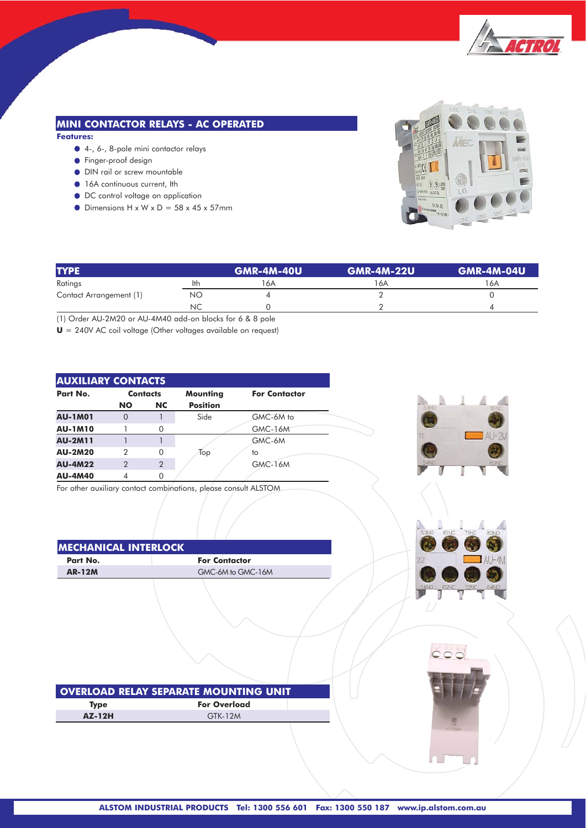

# **MINI CONTACTOR RELAYS - AC OPERATED**

**Features:**

- 4-, 6-, 8-pole mini contactor relays
- **•** Finger-proof design
- DIN rail or screw mountable
- $\bullet$  16A continuous current, Ith
- DC control voltage on application
- $\bullet$  Dimensions H x W x D = 58 x 45 x 57mm



| <b>TYPE</b>             |     | <b>GMR-4M-40U</b> | <b>GMR-4M-22U</b> | <b>GMR-4M-04U</b> |
|-------------------------|-----|-------------------|-------------------|-------------------|
| Ratings                 | lth | 16A               | l 6A              | 6A                |
| Contact Arrangement (1) | NΟ  |                   |                   |                   |
|                         | ΝC  |                   |                   |                   |

(1) Order AU-2M20 or AU-4M40 add-on blocks for 6 & 8 pole

**U** = 240V AC coil voltage (Other voltages available on request)

| <b>AUXILIARY CONTACTS</b> |                |                 |                 |                      |  |  |  |
|---------------------------|----------------|-----------------|-----------------|----------------------|--|--|--|
| Part No.                  |                | <b>Contacts</b> | Mounting        | <b>For Contactor</b> |  |  |  |
|                           | <b>NO</b>      | <b>NC</b>       | <b>Position</b> |                      |  |  |  |
| <b>AU-1M01</b>            | $\Omega$       |                 | Side            | GMC-6M to            |  |  |  |
| <b>AU-1M10</b>            |                | ∩               |                 | GMC-16M              |  |  |  |
| <b>AU-2M11</b>            |                |                 |                 | GMC-6M               |  |  |  |
| <b>AU-2M20</b>            | 2              | 0               | Top             | to                   |  |  |  |
| <b>AU-4M22</b>            | $\overline{2}$ | $\overline{2}$  |                 | <b>GMC-16M</b>       |  |  |  |
| <b>AU-4M40</b>            | 4              |                 |                 |                      |  |  |  |

For other auxiliary contact combinations, please consult ALSTOM

| IMECHANICAL INTERLOCK |                      |
|-----------------------|----------------------|
| Part No.              | <b>For Contactor</b> |
| <b>AR-12M</b>         | GMC-6M to GMC-16M    |
|                       |                      |





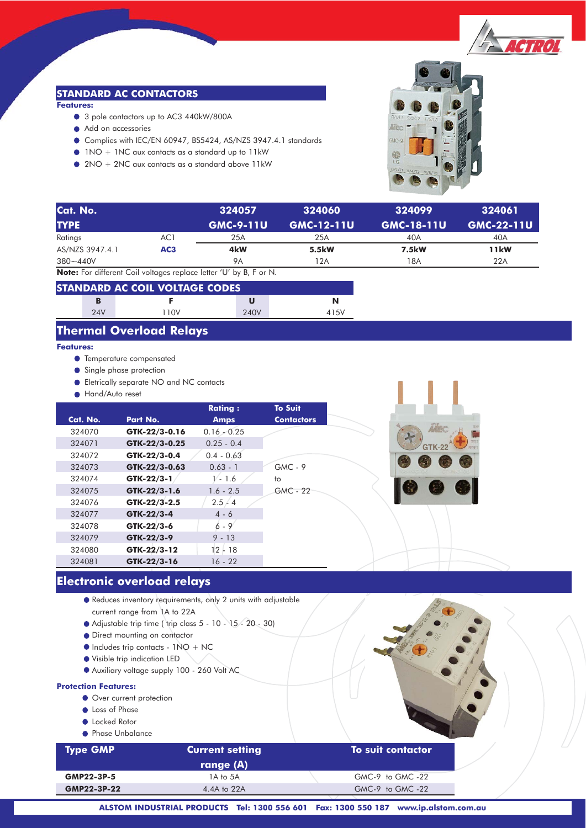

# **STANDARD AC CONTACTORS**

#### **Features:**

- 3 pole contactors up to AC3 440kW/800A
- Add on accessories
- Complies with IEC/EN 60947, BS5424, AS/NZS 3947.4.1 standards
- 1NO + 1NC aux contacts as a standard up to 11kW
- 2NO + 2NC aux contacts as a standard above 11kW



| Cat. No.                  |                 | 324057               | 324060            | 324099            | 324061            |
|---------------------------|-----------------|----------------------|-------------------|-------------------|-------------------|
| <b>TYPE</b>               |                 | <b>GMC-9-11U</b>     | <b>GMC-12-11U</b> | <b>GMC-18-11U</b> | <b>GMC-22-11U</b> |
| Ratings                   | AC1             | 25A                  | 25A               | 40A               | 40A               |
| AS/NZS 3947.4.1           | AC <sub>3</sub> | 4kW                  | 5.5kW             | 7.5kW             | <b>11kW</b>       |
| $380 - 440V$              |                 | <b>9A</b>            | 12A               | 18A               | 22A               |
| .<br>$\sim$ $\sim$ $\sim$ |                 | $\sim$ $\sim$ $\sim$ |                   |                   |                   |

**Note:** For different Coil voltages replace letter 'U' by B, F or N.

| <b>STANDARD AC COIL VOLTAGE CODES</b> |     |      |      |      |  |
|---------------------------------------|-----|------|------|------|--|
|                                       | в   |      |      | N    |  |
|                                       | 24V | 110V | 240V | 415V |  |

# **Thermal Overload Relays**

## **Features:**

- **•** Temperature compensated
- **Single phase protection**
- Eletrically separate NO and NC contacts
- **Hand/Auto reset**

|          |               | <b>Rating:</b> | <b>To Suit</b>    |  |
|----------|---------------|----------------|-------------------|--|
| Cat. No. | Part No.      | <b>Amps</b>    | <b>Contactors</b> |  |
| 324070   | GTK-22/3-0.16 | $0.16 - 0.25$  |                   |  |
| 324071   | GTK-22/3-0.25 | $0.25 - 0.4$   |                   |  |
| 324072   | GTK-22/3-0.4  | $0.4 - 0.63$   |                   |  |
| 324073   | GTK-22/3-0.63 | $0.63 - 1$     | $GMC - 9$         |  |
| 324074   | GTK-22/3-1    | 1⁄ - 1.6       | to                |  |
| 324075   | GTK-22/3-1.6  | $1.6 - 2.5$    | $GMC - 22$        |  |
| 324076   | GTK-22/3-2.5  | 2.5 / 4        |                   |  |
| 324077   | GTK-22/3-4    | $4 - 6$        |                   |  |
| 324078   | GTK-22/3-6    | $6 - 9$        |                   |  |
| 324079   | GTK-22/3-9    | $9 - 13$       |                   |  |
| 324080   | GTK-22/3-12   | 12 - 18        |                   |  |
| 324081   | GTK-22/3-16   | 16 - 22        |                   |  |

# **Electronic overload relays**

- Reduces inventory requirements, only 2 units with adjustable current range from 1A to 22A
- Adjustable trip time ( trip class 5 10 15 20 30)
- Direct mounting on contactor
- Includes trip contacts 1NO + NC
- Visible trip indication LED
- Auxiliary voltage supply 100 260 Volt AC

#### **Protection Features:**

- Over current protection
- **C** Loss of Phase
- **C** Locked Rotor
- **Phase Unbalance**

| <b>Type GMP</b> | <b>Current setting</b> | To suit contactor |  |
|-----------------|------------------------|-------------------|--|
|                 | range (A)              |                   |  |
| GMP22-3P-5      | 1A to 5A               | GMC-9 to GMC-22   |  |
| GMP22-3P-22     | 4.4A to 22A            | GMC-9 to GMC-22   |  |
|                 |                        |                   |  |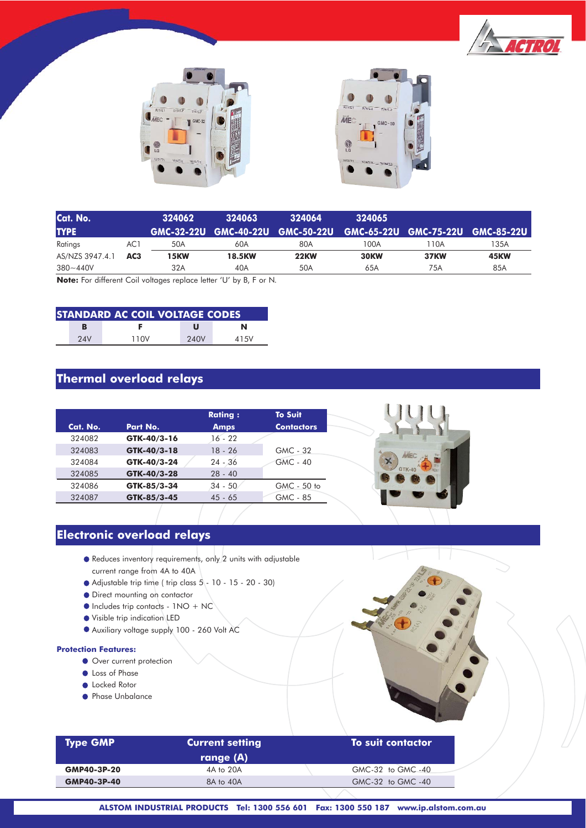





| Cat. No.                                                                                                                   |                 | 324062 | 324063        | 324064                                                            | 324065      |             |             |
|----------------------------------------------------------------------------------------------------------------------------|-----------------|--------|---------------|-------------------------------------------------------------------|-------------|-------------|-------------|
| <b>TYPE</b>                                                                                                                |                 |        |               | GMC-32-22U GMC-40-22U GMC-50-22U GMC-65-22U GMC-75-22U GMC-85-22U |             |             |             |
| Ratings                                                                                                                    | AC1             | 50A    | 60A           | 80A                                                               | 100A        | l 10A       | 135A        |
| AS/NZS 3947.4.1                                                                                                            | AC <sub>3</sub> | 15KW   | <b>18.5KW</b> | <b>22KW</b>                                                       | <b>30KW</b> | <b>37KW</b> | <b>45KW</b> |
| $380 - 440V$                                                                                                               |                 | 32A    | 40A           | 50A                                                               | 65A         | 75A         | 85A         |
| <b>Matar E.g. J. Construction Contractor Construction Construction Construction Construction Construction Construction</b> |                 |        |               |                                                                   |             |             |             |

**Note:** For different Coil voltages replace letter 'U' by B, F or N.

| <b>STANDARD AC COIL VOLTAGE CODES</b> |     |      |      |      |  |  |
|---------------------------------------|-----|------|------|------|--|--|
|                                       | в   |      | u    | N    |  |  |
|                                       | 24V | 110V | 240V | 415V |  |  |

# **Thermal overload relays**

|          |             | <b>Rating:</b> | <b>To Suit</b>    |
|----------|-------------|----------------|-------------------|
| Cat. No. | Part No.    | <b>Amps</b>    | <b>Contactors</b> |
| 324082   | GTK-40/3-16 | $16 - 22$      |                   |
| 324083   | GTK-40/3-18 | $18 - 26$      | GMC - 32          |
| 324084   | GTK-40/3-24 | $24 - 36$      | <b>GMC - 40</b>   |
| 324085   | GTK-40/3-28 | $28 - 40$      |                   |
| 324086   | GTK-85/3-34 | $34 - 50$      | GMC - 50 to       |
| 324087   | GTK-85/3-45 | $45 - 65$      | GMC - 85          |

# **Electronic overload relays**

- Reduces inventory requirements, only 2 units with adjustable current range from 4A to 40A
- $\bullet$  Adjustable trip time ( trip class  $5 10 15 20 30$ )
- Direct mounting on contactor
- $\bullet$  Includes trip contacts 1NO + NC
- Visible trip indication LED
- Auxiliary voltage supply 100 260 Volt AC

### **Protection Features:**

- Over current protection
- **C** Loss of Phase
- **C** Locked Rotor
- **Phase Unbalance**

|    | ×<br>E College R. Bally<br>$\alpha$            | <b>MEGI</b> |  |
|----|------------------------------------------------|-------------|--|
|    | for you<br>$\bullet$<br>FRICA<br>$\mathcal{A}$ |             |  |
| ă. | ROLAJ                                          |             |  |
|    |                                                |             |  |
|    |                                                |             |  |
|    |                                                |             |  |

160

| <b>Type GMP</b> | <b>Current setting</b> | To suit contactor |  |
|-----------------|------------------------|-------------------|--|
|                 | range (A)              |                   |  |
| GMP40-3P-20     | 4A to 20A              | GMC-32 to GMC-40  |  |
| GMP40-3P-40     | 8A to 40A              | GMC-32 to GMC-40  |  |
|                 |                        |                   |  |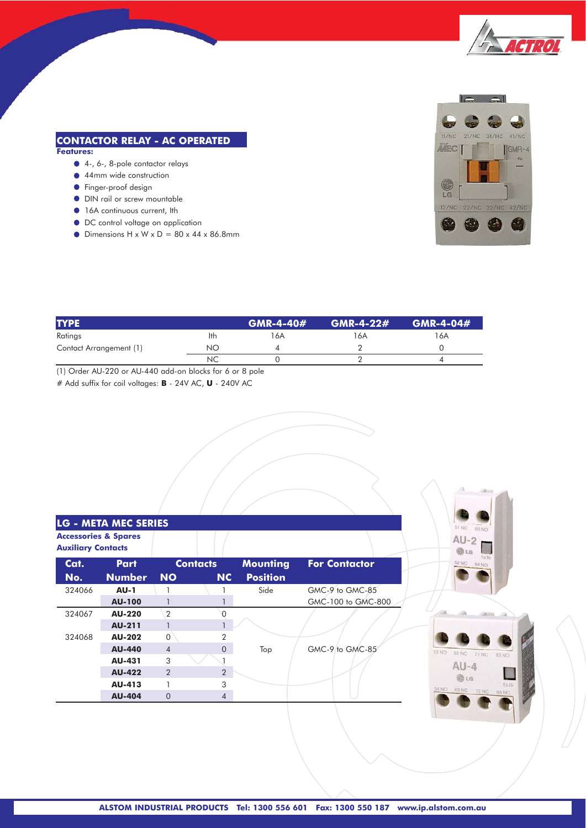

# **CONTACTOR RELAY - AC OPERATED**

## **Features:**

- 4-, 6-, 8-pole contactor relays
- 44mm wide construction
- **•** Finger-proof design
- $\bullet$  DIN rail or screw mountable
- $\bullet$  16A continuous current, Ith
- $\bullet$  DC control voltage on application
- $\bullet$  Dimensions H x W x D = 80 x 44 x 86.8mm



| <b>TYPE</b>             |     | $GMR-4-40#$ | $GMR-4-22#$ | GMR-4-04# |
|-------------------------|-----|-------------|-------------|-----------|
| Ratings                 | lth | 16A         | 6A          | 16A       |
| Contact Arrangement (1) | NO  |             |             |           |
|                         | ΝC  |             |             |           |

(1) Order AU-220 or AU-440 add-on blocks for 6 or 8 pole

# Add suffix for coil voltages: **B** - 24V AC, **U** - 240V AC

|                           | <b>LG - META MEC SERIES</b>     |                |                 |                 |                      |
|---------------------------|---------------------------------|----------------|-----------------|-----------------|----------------------|
| <b>Auxiliary Contacts</b> | <b>Accessories &amp; Spares</b> |                |                 |                 |                      |
| Cat.                      | <b>Part</b>                     |                | <b>Contacts</b> | <b>Mounting</b> | <b>For Contactor</b> |
| No.                       | <b>Number</b>                   | <b>NO</b>      | <b>NC</b>       | <b>Position</b> |                      |
| 324066                    | <b>AU-1</b>                     |                |                 | Side            | GMC-9 to GMC-85      |
|                           | <b>AU-100</b>                   |                |                 |                 | GMC-100 to GMC-800   |
| 324067                    | <b>AU-220</b>                   | $\overline{2}$ |                 |                 |                      |
|                           | <b>AU-211</b>                   |                |                 |                 |                      |
| 324068                    | <b>AU-202</b>                   | $\Omega$       | 2               |                 |                      |
|                           | <b>AU-440</b>                   | $\overline{4}$ | $\Omega$        | Top             | GMC-9 to GMC-85      |
|                           | AU-431                          | 3              |                 |                 |                      |
|                           | <b>AU-422</b>                   | $\mathcal{P}$  | 2               |                 |                      |
|                           | AU-413                          |                | 3               |                 |                      |
|                           | <b>AU-404</b>                   | $\Omega$       | $\overline{4}$  |                 |                      |



51 NC  $63N<sub>0</sub>$ 

 $AU-2$ 

 $Q_{LG}$ 

四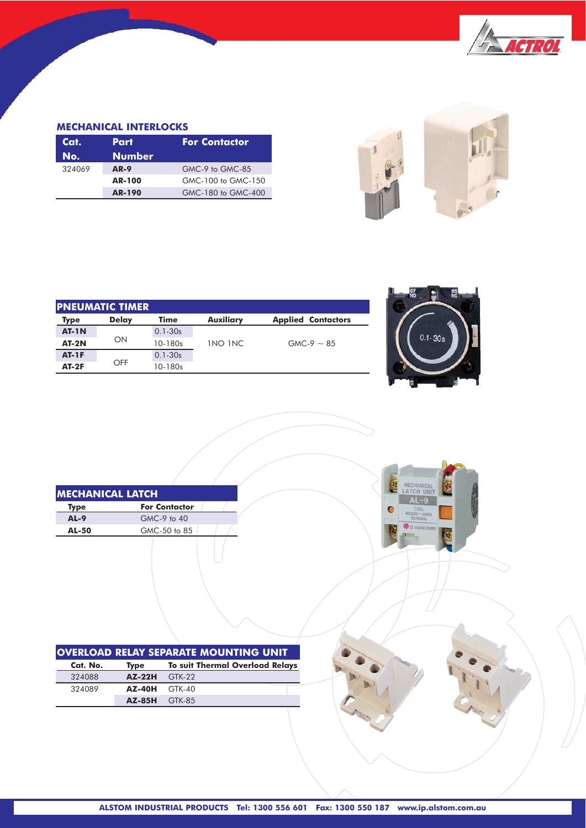

## **MECHANICAL INTERLOCKS**

| Cat.   | Part          | <b>For Contactor</b> |
|--------|---------------|----------------------|
| No.    | <b>Number</b> |                      |
| 324069 | <b>AR-9</b>   | GMC-9 to GMC-85      |
|        | <b>AR-100</b> | GMC-100 to GMC-150   |
|        | <b>AR-190</b> | GMC-180 to GMC-400   |



| <b>IPNEUMATIC TIMER</b> |              |             |                  |                           |  |
|-------------------------|--------------|-------------|------------------|---------------------------|--|
| <b>Type</b>             | <b>Delay</b> | <b>Time</b> | <b>Auxiliary</b> | <b>Applied Contactors</b> |  |
| <b>AT-1N</b>            |              | $0.1 - 30s$ |                  |                           |  |
| $AT-2N$                 | ON           | 10-180s     | <b>INO INC</b>   | $GMC-9 \sim 85$           |  |
| <b>AT-1F</b>            | OFF          | $0.1 - 30s$ |                  |                           |  |
| $AT-2F$                 |              | 10-180s     |                  |                           |  |





| IMECHANICAL LATCH |                      |  |  |  |  |
|-------------------|----------------------|--|--|--|--|
| Type              | <b>For Contactor</b> |  |  |  |  |
| $AL-9$            | GMC-9 to 40          |  |  |  |  |
| <b>AL-50</b>      | GMC-50 to 85         |  |  |  |  |
|                   |                      |  |  |  |  |

| <b>OVERLOAD RELAY SEPARATE MOUNTING UNIT</b> |                         |                                        |  |  |
|----------------------------------------------|-------------------------|----------------------------------------|--|--|
| Cat. No.                                     | <b>Type</b>             | <b>To suit Thermal Overload Relays</b> |  |  |
| 324088                                       | $AZ-22H$                | GTK-22                                 |  |  |
| 324089                                       | <b>AZ-40H</b>           | GTK-40                                 |  |  |
|                                              | $\Delta Z - 85H$ GTK-85 |                                        |  |  |